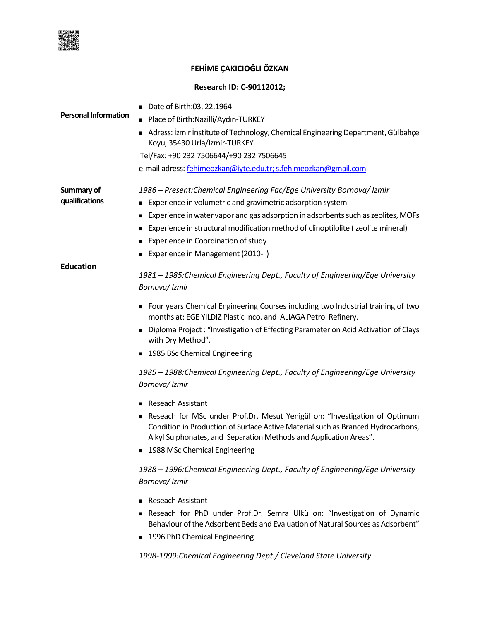

## **FEHİME ÇAKICIOĞLI ÖZKAN**

## **Research ID: C-90112012;**

| <b>Personal Information</b>  | ■ Date of Birth:03, 22,1964<br>Place of Birth: Nazilli/Aydın-TURKEY<br>Adress: İzmir İnstitute of Technology, Chemical Engineering Department, Gülbahçe<br>Koyu, 35430 Urla/Izmir-TURKEY<br>Tel/Fax: +90 232 7506644/+90 232 7506645<br>e-mail adress: fehimeozkan@iyte.edu.tr; s.fehimeozkan@gmail.com                                                                                                                                                                                                                                                                                                                                                                                                                                                                                                                                                                                                                                                                                                                                                                                                                               |
|------------------------------|---------------------------------------------------------------------------------------------------------------------------------------------------------------------------------------------------------------------------------------------------------------------------------------------------------------------------------------------------------------------------------------------------------------------------------------------------------------------------------------------------------------------------------------------------------------------------------------------------------------------------------------------------------------------------------------------------------------------------------------------------------------------------------------------------------------------------------------------------------------------------------------------------------------------------------------------------------------------------------------------------------------------------------------------------------------------------------------------------------------------------------------|
| Summary of<br>qualifications | 1986 – Present: Chemical Engineering Fac/Ege University Bornova/ Izmir<br>Experience in volumetric and gravimetric adsorption system<br>٠<br>Experience in water vapor and gas adsorption in adsorbents such as zeolites, MOFs<br>Experience in structural modification method of clinoptilolite (zeolite mineral)<br>Experience in Coordination of study<br>Experience in Management (2010-)                                                                                                                                                                                                                                                                                                                                                                                                                                                                                                                                                                                                                                                                                                                                         |
| <b>Education</b>             | 1981 – 1985: Chemical Engineering Dept., Faculty of Engineering/Ege University<br>Bornova/ Izmir<br>Four years Chemical Engineering Courses including two Industrial training of two<br>months at: EGE YILDIZ Plastic Inco. and ALIAGA Petrol Refinery.<br>■ Diploma Project : "Investigation of Effecting Parameter on Acid Activation of Clays<br>with Dry Method".<br>■ 1985 BSc Chemical Engineering<br>1985 - 1988: Chemical Engineering Dept., Faculty of Engineering/Ege University<br>Bornova/Izmir<br>■ Reseach Assistant<br>Reseach for MSc under Prof.Dr. Mesut Yenigül on: "Investigation of Optimum<br>Condition in Production of Surface Active Material such as Branced Hydrocarbons,<br>Alkyl Sulphonates, and Separation Methods and Application Areas".<br>■ 1988 MSc Chemical Engineering<br>1988 – 1996: Chemical Engineering Dept., Faculty of Engineering/Ege University<br>Bornova/Izmir<br>Reseach Assistant<br>Reseach for PhD under Prof.Dr. Semra Ulkü on: "Investigation of Dynamic<br>Behaviour of the Adsorbent Beds and Evaluation of Natural Sources as Adsorbent"<br>■ 1996 PhD Chemical Engineering |

*1998-1999:Chemical Engineering Dept./ Cleveland State University*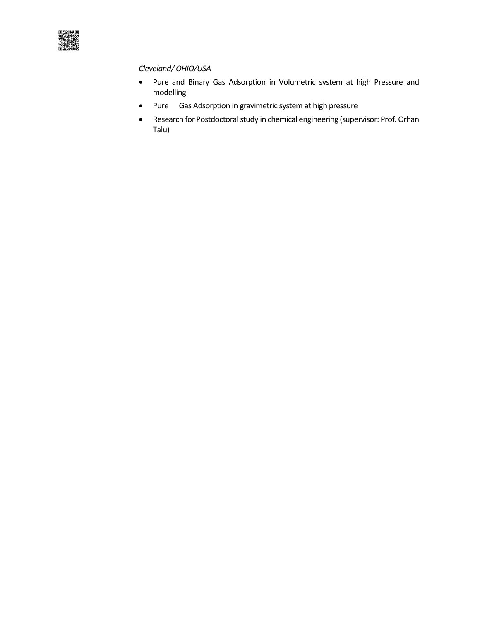

## *Cleveland/ OHIO/USA*

- Pure and Binary Gas Adsorption in Volumetric system at high Pressure and modelling
- Pure Gas Adsorption in gravimetric system at high pressure
- Research for Postdoctoral study in chemical engineering (supervisor: Prof. Orhan Talu)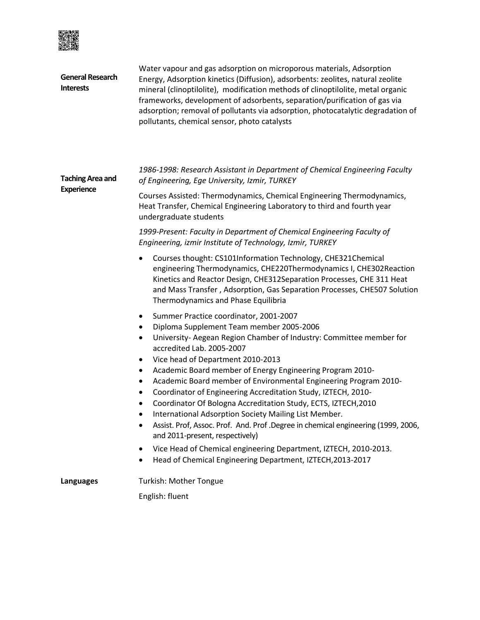

| <b>General Research</b><br><b>Interests</b>  | Water vapour and gas adsorption on microporous materials, Adsorption<br>Energy, Adsorption kinetics (Diffusion), adsorbents: zeolites, natural zeolite<br>mineral (clinoptilolite), modification methods of clinoptilolite, metal organic<br>frameworks, development of adsorbents, separation/purification of gas via<br>adsorption; removal of pollutants via adsorption, photocatalytic degradation of<br>pollutants, chemical sensor, photo catalysts                                                                                                                                                                                                                                                                                                                                                                                   |  |  |
|----------------------------------------------|---------------------------------------------------------------------------------------------------------------------------------------------------------------------------------------------------------------------------------------------------------------------------------------------------------------------------------------------------------------------------------------------------------------------------------------------------------------------------------------------------------------------------------------------------------------------------------------------------------------------------------------------------------------------------------------------------------------------------------------------------------------------------------------------------------------------------------------------|--|--|
| <b>Taching Area and</b><br><b>Experience</b> | 1986-1998: Research Assistant in Department of Chemical Engineering Faculty<br>of Engineering, Ege University, Izmir, TURKEY                                                                                                                                                                                                                                                                                                                                                                                                                                                                                                                                                                                                                                                                                                                |  |  |
|                                              | Courses Assisted: Thermodynamics, Chemical Engineering Thermodynamics,<br>Heat Transfer, Chemical Engineering Laboratory to third and fourth year<br>undergraduate students                                                                                                                                                                                                                                                                                                                                                                                                                                                                                                                                                                                                                                                                 |  |  |
|                                              | 1999-Present: Faculty in Department of Chemical Engineering Faculty of<br>Engineering, izmir Institute of Technology, Izmir, TURKEY                                                                                                                                                                                                                                                                                                                                                                                                                                                                                                                                                                                                                                                                                                         |  |  |
|                                              | Courses thought: CS101Information Technology, CHE321Chemical<br>engineering Thermodynamics, CHE220Thermodynamics I, CHE302Reaction<br>Kinetics and Reactor Design, CHE312Separation Processes, CHE 311 Heat<br>and Mass Transfer, Adsorption, Gas Separation Processes, CHE507 Solution<br>Thermodynamics and Phase Equilibria                                                                                                                                                                                                                                                                                                                                                                                                                                                                                                              |  |  |
|                                              | Summer Practice coordinator, 2001-2007<br>Diploma Supplement Team member 2005-2006<br>٠<br>University- Aegean Region Chamber of Industry: Committee member for<br>٠<br>accredited Lab. 2005-2007<br>Vice head of Department 2010-2013<br>٠<br>Academic Board member of Energy Engineering Program 2010-<br>Academic Board member of Environmental Engineering Program 2010-<br>٠<br>Coordinator of Engineering Accreditation Study, IZTECH, 2010-<br>Coordinator Of Bologna Accreditation Study, ECTS, IZTECH, 2010<br>International Adsorption Society Mailing List Member.<br>Assist. Prof, Assoc. Prof. And. Prof .Degree in chemical engineering (1999, 2006,<br>and 2011-present, respectively)<br>Vice Head of Chemical engineering Department, IZTECH, 2010-2013.<br>٠<br>Head of Chemical Engineering Department, IZTECH, 2013-2017 |  |  |
|                                              | Turkish: Mother Tongue                                                                                                                                                                                                                                                                                                                                                                                                                                                                                                                                                                                                                                                                                                                                                                                                                      |  |  |
| Languages                                    | English: fluent                                                                                                                                                                                                                                                                                                                                                                                                                                                                                                                                                                                                                                                                                                                                                                                                                             |  |  |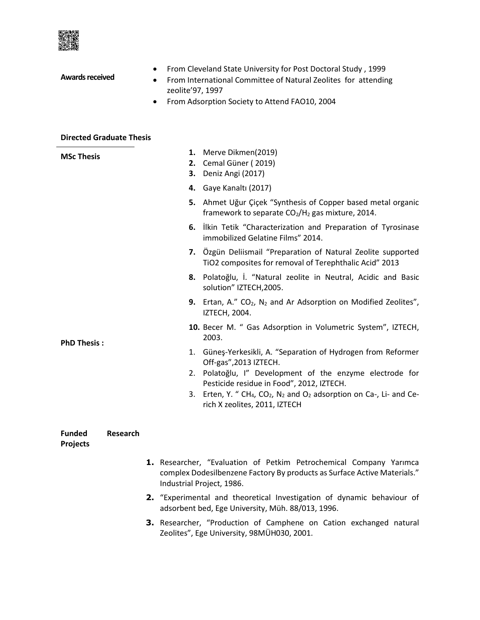

| <b>Awards received</b>                              | From Cleveland State University for Post Doctoral Study, 1999<br>٠<br>From International Committee of Natural Zeolites for attending<br>$\bullet$<br>zeolite' 97, 1997<br>From Adsorption Society to Attend FAO10, 2004<br>٠                                                                                                                                |
|-----------------------------------------------------|-------------------------------------------------------------------------------------------------------------------------------------------------------------------------------------------------------------------------------------------------------------------------------------------------------------------------------------------------------------|
| <b>Directed Graduate Thesis</b>                     |                                                                                                                                                                                                                                                                                                                                                             |
| <b>MSc Thesis</b>                                   | 1. Merve Dikmen(2019)<br>2. Cemal Güner (2019)<br>Deniz Angi (2017)<br>3.                                                                                                                                                                                                                                                                                   |
|                                                     | Gaye Kanaltı (2017)<br>4.<br>5. Ahmet Uğur Çiçek "Synthesis of Copper based metal organic<br>framework to separate CO <sub>2</sub> /H <sub>2</sub> gas mixture, 2014.                                                                                                                                                                                       |
|                                                     | 6. Ilkin Tetik "Characterization and Preparation of Tyrosinase<br>immobilized Gelatine Films" 2014.                                                                                                                                                                                                                                                         |
|                                                     | 7. Özgün Deliismail "Preparation of Natural Zeolite supported<br>TiO2 composites for removal of Terephthalic Acid" 2013                                                                                                                                                                                                                                     |
|                                                     | 8. Polatoğlu, İ. "Natural zeolite in Neutral, Acidic and Basic<br>solution" IZTECH, 2005.                                                                                                                                                                                                                                                                   |
|                                                     | 9. Ertan, A." $CO2$ , N <sub>2</sub> and Ar Adsorption on Modified Zeolites",<br><b>IZTECH, 2004.</b>                                                                                                                                                                                                                                                       |
| <b>PhD Thesis:</b>                                  | 10. Becer M. " Gas Adsorption in Volumetric System", IZTECH,<br>2003.                                                                                                                                                                                                                                                                                       |
|                                                     | 1. Güneş-Yerkesikli, A. "Separation of Hydrogen from Reformer<br>Off-gas", 2013 IZTECH.<br>2. Polatoğlu, I" Development of the enzyme electrode for<br>Pesticide residue in Food", 2012, IZTECH.<br>Erten, Y. " CH <sub>4</sub> , CO <sub>2</sub> , N <sub>2</sub> and O <sub>2</sub> adsorption on Ca-, Li- and Ce-<br>3.<br>rich X zeolites, 2011, IZTECH |
| <b>Funded</b><br><b>Research</b><br><b>Projects</b> |                                                                                                                                                                                                                                                                                                                                                             |
|                                                     | 1. Researcher, "Evaluation of Petkim Petrochemical Company Yarımca<br>complex Dodesilbenzene Factory By products as Surface Active Materials."<br>Industrial Project, 1986.                                                                                                                                                                                 |

- **2.** "Experimental and theoretical Investigation of dynamic behaviour of adsorbent bed, Ege University, Müh. 88/013, 1996.
- **3.** Researcher, "Production of Camphene on Cation exchanged natural Zeolites", Ege University, 98MÜH030, 2001.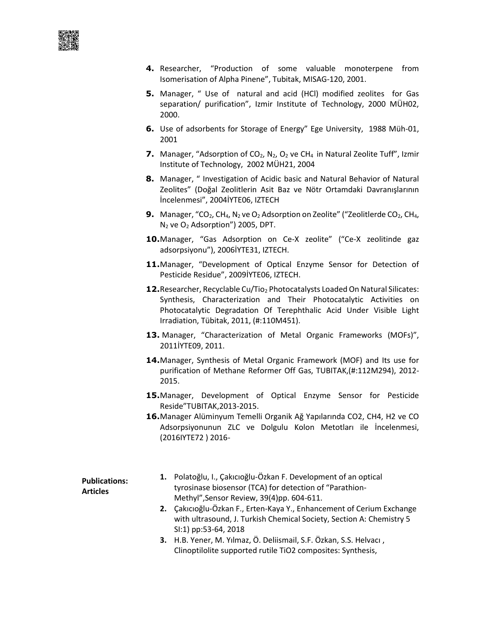- **4.** Researcher, "Production of some valuable monoterpene from Isomerisation of Alpha Pinene", Tubitak, MISAG-120, 2001.
- **5.** Manager, " Use of natural and acid (HCl) modified zeolites for Gas separation/ purification", Izmir Institute of Technology, 2000 MÜH02, 2000.
- **6.** Use of adsorbents for Storage of Energy" Ege University, 1988 Müh-01, 2001
- **7.** Manager, "Adsorption of CO<sub>2</sub>, N<sub>2</sub>, O<sub>2</sub> ve CH<sub>4</sub> in Natural Zeolite Tuff", Izmir Institute of Technology, 2002 MÜH21, 2004
- **8.** Manager, " Investigation of Acidic basic and Natural Behavior of Natural Zeolites" (Doğal Zeolitlerin Asit Baz ve Nötr Ortamdaki Davranışlarının İncelenmesi", 2004İYTE06, IZTECH
- **9.** Manager, "CO<sub>2</sub>, CH<sub>4</sub>, N<sub>2</sub> ve O<sub>2</sub> Adsorption on Zeolite" ("Zeolitlerde CO<sub>2</sub>, CH<sub>4</sub>,  $N_2$  ve  $O_2$  Adsorption") 2005, DPT.
- 10. Manager, "Gas Adsorption on Ce-X zeolite" ("Ce-X zeolitinde gaz adsorpsiyonu"), 2006İYTE31, IZTECH.
- **11.**Manager, "Development of Optical Enzyme Sensor for Detection of Pesticide Residue", 2009İYTE06, IZTECH.
- **12.** Researcher, Recyclable Cu/Tio<sub>2</sub> Photocatalysts Loaded On Natural Silicates: Synthesis, Characterization and Their Photocatalytic Activities on Photocatalytic Degradation Of Terephthalic Acid Under Visible Light Irradiation, Tübitak, 2011, (#:110M451).
- **13.** Manager, "Characterization of Metal Organic Frameworks (MOFs)", 2011İYTE09, 2011.
- **14.**Manager, Synthesis of Metal Organic Framework (MOF) and Its use for purification of Methane Reformer Off Gas, TUBITAK,(#:112M294), 2012- 2015.
- **15.**Manager, Development of Optical Enzyme Sensor for Pesticide Reside"TUBITAK,2013-2015.
- **16.**Manager Alüminyum Temelli Organik Ağ Yapılarında CO2, CH4, H2 ve CO Adsorpsiyonunun ZLC ve Dolgulu Kolon Metotları ile İncelenmesi, (2016IYTE72 ) 2016-

| <b>Publications:</b><br><b>Articles</b> | 1. Polatoğlu, I., Çakıcıoğlu-Özkan F. Development of an optical       |
|-----------------------------------------|-----------------------------------------------------------------------|
|                                         | tyrosinase biosensor (TCA) for detection of "Parathion-               |
|                                         | Methyl", Sensor Review, 39(4)pp. 604-611.                             |
|                                         | 2. Çakıcıoğlu-Özkan F., Erten-Kaya Y., Enhancement of Cerium Exchange |
|                                         | with ultrasound, J. Turkish Chemical Society, Section A: Chemistry 5  |
|                                         | SI:1) pp:53-64, 2018                                                  |
|                                         | 3. H.B. Yener, M. Yılmaz, Ö. Deliismail, S.F. Özkan, S.S. Helvacı,    |

Clinoptilolite supported rutile TiO2 composites: Synthesis,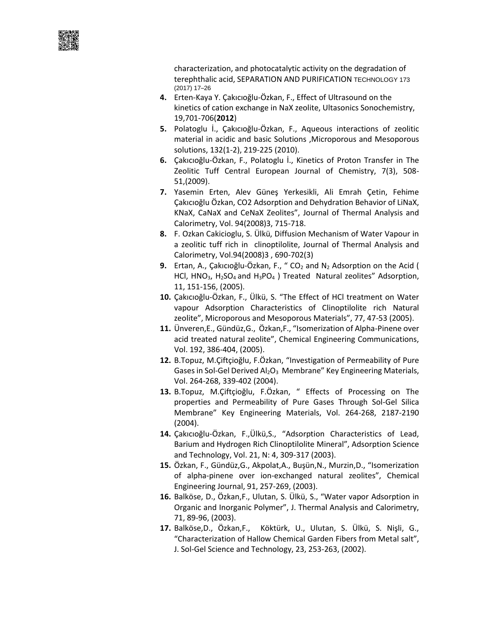characterization, and photocatalytic activity on the degradation of terephthalic acid, SEPARATION AND PURIFICATION TECHNOLOGY 173 (2017) 17–26

- **4.** Erten-Kaya Y. Çakıcıoğlu-Özkan, F., Effect of Ultrasound on the kinetics of cation exchange in NaX zeolite, Ultasonics Sonochemistry, 19,701-706(**2012**)
- **5.** Polatoglu İ., Çakıcıoğlu-Özkan, F., Aqueous interactions of zeolitic material in acidic and basic Solutions ,Microporous and Mesoporous solutions, 132(1-2), 219-225 (2010).
- **6.** Çakıcıoğlu-Özkan, F., Polatoglu İ., Kinetics of Proton Transfer in The Zeolitic Tuff Central European Journal of Chemistry, 7(3), 508- 51,(2009).
- **7.** Yasemin Erten, Alev Güneş Yerkesikli, Ali Emrah Çetin, Fehime Çakıcıoğlu Özkan, CO2 Adsorption and Dehydration Behavior of LiNaX, KNaX, CaNaX and CeNaX Zeolites", Journal of Thermal Analysis and Calorimetry, Vol. 94(2008)3, 715-718.
- **8.** F. Ozkan Cakicioglu, S. Ülkü, Diffusion Mechanism of Water Vapour in a zeolitic tuff rich in clinoptilolite, Journal of Thermal Analysis and Calorimetry, Vol.94(2008)3 , 690-702(3)
- **9.** Ertan, A., Çakıcıoğlu-Özkan, F., "CO<sub>2</sub> and N<sub>2</sub> Adsorption on the Acid ( HCl,  $HNO<sub>3</sub>$ , H<sub>2</sub>SO<sub>4</sub> and H<sub>3</sub>PO<sub>4</sub>) Treated Natural zeolites" Adsorption, 11, 151-156, (2005).
- **10.** Çakıcıoğlu-Özkan, F., Ülkü, S. "The Effect of HCl treatment on Water vapour Adsorption Characteristics of Clinoptilolite rich Natural zeolite", Microporous and Mesoporous Materials", 77, 47-53 (2005).
- **11.** Ünveren,E., Gündüz,G., Özkan,F., "Isomerization of Alpha-Pinene over acid treated natural zeolite", Chemical Engineering Communications, Vol. 192, 386-404, (2005).
- **12.** B.Topuz, M.Çiftçioğlu, F.Özkan, "Investigation of Permeability of Pure Gases in Sol-Gel Derived  $Al_2O_3$  Membrane" Key Engineering Materials, Vol. 264-268, 339-402 (2004).
- **13.** B.Topuz, M.Çiftçioğlu, F.Özkan, " Effects of Processing on The properties and Permeability of Pure Gases Through Sol-Gel Silica Membrane" Key Engineering Materials, Vol. 264-268, 2187-2190 (2004).
- **14.** Çakıcıoğlu-Özkan, F.,Ülkü,S., "Adsorption Characteristics of Lead, Barium and Hydrogen Rich Clinoptilolite Mineral", Adsorption Science and Technology, Vol. 21, N: 4, 309-317 (2003).
- **15.** Özkan, F., Gündüz,G., Akpolat,A., Buşün,N., Murzin,D., "Isomerization of alpha-pinene over ion-exchanged natural zeolites", Chemical Engineering Journal, 91, 257-269, (2003).
- **16.** Balköse, D., Özkan,F., Ulutan, S. Ülkü, S., "Water vapor Adsorption in Organic and Inorganic Polymer", J. Thermal Analysis and Calorimetry, 71, 89-96, (2003).
- **17.** Balköse,D., Özkan,F., Köktürk, U., Ulutan, S. Ülkü, S. Nişli, G., "Characterization of Hallow Chemical Garden Fibers from Metal salt", J. Sol-Gel Science and Technology, 23, 253-263, (2002).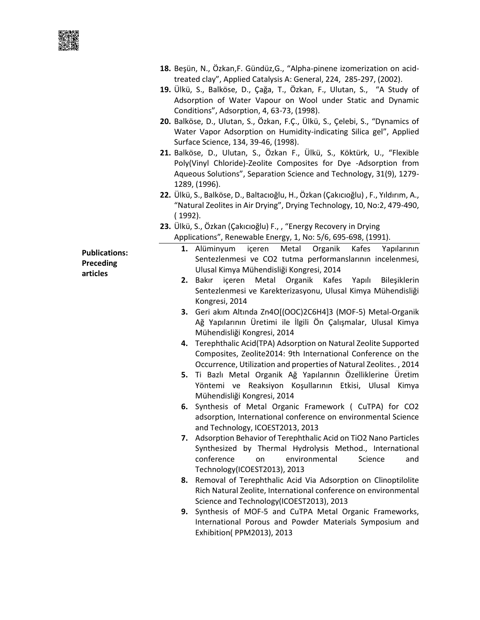■演員<br>受理機<br>受法機能<br>全社機

|                                               | 18. Beşün, N., Özkan, F. Gündüz, G., "Alpha-pinene izomerization on acid-<br>treated clay", Applied Catalysis A: General, 224, 285-297, (2002).<br>19. Ülkü, S., Balköse, D., Çağa, T., Özkan, F., Ulutan, S., "A Study of<br>Adsorption of Water Vapour on Wool under Static and Dynamic<br>Conditions", Adsorption, 4, 63-73, (1998).<br>20. Balköse, D., Ulutan, S., Özkan, F.Ç., Ülkü, S., Çelebi, S., "Dynamics of<br>Water Vapor Adsorption on Humidity-indicating Silica gel", Applied<br>Surface Science, 134, 39-46, (1998).<br>21. Balköse, D., Ulutan, S., Özkan F., Ülkü, S., Köktürk, U., "Flexible<br>Poly(Vinyl Chloride)-Zeolite Composites for Dye -Adsorption from<br>Aqueous Solutions", Separation Science and Technology, 31(9), 1279-<br>1289, (1996).<br>22. Ülkü, S., Balköse, D., Baltacıoğlu, H., Özkan (Çakıcıoğlu), F., Yıldırım, A.,<br>"Natural Zeolites in Air Drying", Drying Technology, 10, No:2, 479-490,                                                    |
|-----------------------------------------------|-------------------------------------------------------------------------------------------------------------------------------------------------------------------------------------------------------------------------------------------------------------------------------------------------------------------------------------------------------------------------------------------------------------------------------------------------------------------------------------------------------------------------------------------------------------------------------------------------------------------------------------------------------------------------------------------------------------------------------------------------------------------------------------------------------------------------------------------------------------------------------------------------------------------------------------------------------------------------------------------------|
|                                               | (1992).                                                                                                                                                                                                                                                                                                                                                                                                                                                                                                                                                                                                                                                                                                                                                                                                                                                                                                                                                                                         |
|                                               | 23. Ülkü, S., Özkan (Çakıcıoğlu) F., , "Energy Recovery in Drying<br>Applications", Renewable Energy, 1, No: 5/6, 695-698, (1991).                                                                                                                                                                                                                                                                                                                                                                                                                                                                                                                                                                                                                                                                                                                                                                                                                                                              |
| <b>Publications:</b><br>Preceding<br>articles | Organik<br>Kafes<br>1. Alüminyum<br>içeren<br>Metal<br>Yapılarının<br>Sentezlenmesi ve CO2 tutma performanslarının incelenmesi,<br>Ulusal Kimya Mühendisliği Kongresi, 2014<br>içeren Metal Organik Kafes Yapılı<br>2. Bakır<br>Bileşiklerin<br>Sentezlenmesi ve Karekterizasyonu, Ulusal Kimya Mühendisliği<br>Kongresi, 2014<br>3. Geri akım Altında Zn4O[(OOC)2C6H4]3 (MOF-5) Metal-Organik<br>Ağ Yapılarının Üretimi ile İlgili Ön Çalışmalar, Ulusal Kimya<br>Mühendisliği Kongresi, 2014<br>4. Terephthalic Acid(TPA) Adsorption on Natural Zeolite Supported<br>Composites, Zeolite2014: 9th International Conference on the<br>Occurrence, Utilization and properties of Natural Zeolites., 2014<br>5. Ti Bazlı Metal Organik Ağ Yapılarının Özelliklerine Üretim<br>Yöntemi ve Reaksiyon Koşullarının Etkisi, Ulusal Kimya<br>Mühendisliği Kongresi, 2014<br>6. Synthesis of Metal Organic Framework ( CuTPA) for CO2<br>adsorption, International conference on environmental Science |
|                                               | and Technology, ICOEST2013, 2013<br>7. Adsorption Behavior of Terephthalic Acid on TiO2 Nano Particles<br>Synthesized by Thermal Hydrolysis Method., International<br>conference<br>environmental<br>Science<br>on<br>and<br>Technology(ICOEST2013), 2013                                                                                                                                                                                                                                                                                                                                                                                                                                                                                                                                                                                                                                                                                                                                       |
|                                               | Removal of Terephthalic Acid Via Adsorption on Clinoptilolite<br>8.<br>Rich Natural Zeolite, International conference on environmental<br>Science and Technology(ICOEST2013), 2013                                                                                                                                                                                                                                                                                                                                                                                                                                                                                                                                                                                                                                                                                                                                                                                                              |
|                                               | 9. Synthesis of MOF-5 and CuTPA Metal Organic Frameworks,<br>International Porous and Powder Materials Symposium and<br>Exhibition(PPM2013), 2013                                                                                                                                                                                                                                                                                                                                                                                                                                                                                                                                                                                                                                                                                                                                                                                                                                               |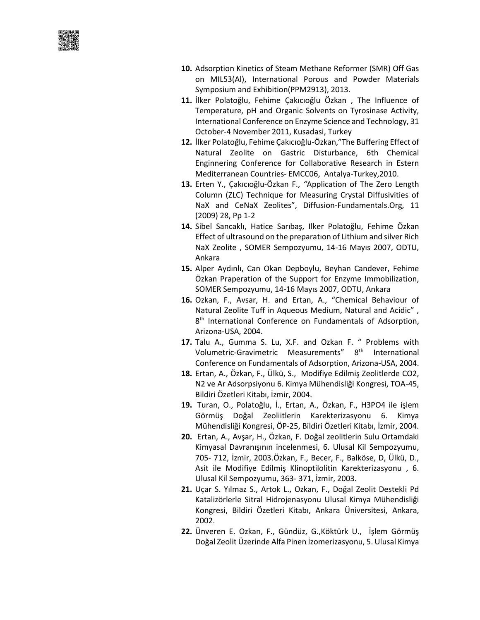

- **10.** Adsorption Kinetics of Steam Methane Reformer (SMR) Off Gas on MIL53(Al), International Porous and Powder Materials Symposium and Exhibition(PPM2913), 2013.
- **11.** İlker Polatoğlu, Fehime Çakıcıoğlu Özkan , The Influence of Temperature, pH and Organic Solvents on Tyrosinase Activity, International Conference on Enzyme Science and Technology, 31 October-4 November 2011, Kusadasi, Turkey
- **12.** İlker Polatoğlu, Fehime Çakıcıoğlu-Özkan,"The Buffering Effect of Natural Zeolite on Gastric Disturbance, 6th Chemical Enginnering Conference for Collaborative Research in Estern Mediterranean Countries- EMCC06, Antalya-Turkey,2010.
- **13.** Erten Y., Çakıcıoğlu-Özkan F., *"*Application of The Zero Length Column (ZLC) Technique for Measuring Crystal Diffusivities of NaX and CeNaX Zeolites", Diffusion-Fundamentals.Org, 11 (2009) 28, Pp 1-2
- **14.** Sibel Sancaklı, Hatice Sarıbaş, Ilker Polatoğlu, Fehime Özkan Effect of ultrasound on the preparatıon of Lithium and silver Rich NaX Zeolite , SOMER Sempozyumu, 14-16 Mayıs 2007, ODTU, Ankara
- **15.** Alper Aydınlı, Can Okan Depboylu, Beyhan Candever, Fehime Özkan Praperation of the Support for Enzyme Immobilization, SOMER Sempozyumu, 14-16 Mayıs 2007, ODTU, Ankara
- **16.** Ozkan, F., Avsar, H. and Ertan, A., "Chemical Behaviour of Natural Zeolite Tuff in Aqueous Medium, Natural and Acidic" , 8<sup>th</sup> International Conference on Fundamentals of Adsorption, Arizona-USA, 2004.
- **17.** Talu A., Gumma S. Lu, X.F. and Ozkan F. " Problems with Volumetric-Gravimetric Measurements" 8<sup>th</sup> International Conference on Fundamentals of Adsorption, Arizona-USA, 2004.
- **18.** Ertan, A., Özkan, F., Ülkü, S., Modifiye Edilmiş Zeolitlerde CO2, N2 ve Ar Adsorpsiyonu 6. Kimya Mühendisliği Kongresi, TOA-45, Bildiri Özetleri Kitabı, İzmir, 2004.
- **19.** Turan, O., Polatoğlu, İ., Ertan, A., Özkan, F., H3PO4 ile işlem Görmüş Doğal Zeoliitlerin Karekterizasyonu 6. Kimya Mühendisliği Kongresi, ÖP-25, Bildiri Özetleri Kitabı, İzmir, 2004.
- **20.** Ertan, A., Avşar, H., Özkan, F. Doğal zeolitlerin Sulu Ortamdaki Kimyasal Davranışının incelenmesi, 6. Ulusal Kil Sempozyumu, 705- 712, İzmir, 2003.Özkan, F., Becer, F., Balköse, D, Ülkü, D., Asit ile Modifiye Edilmiş Klinoptilolitin Karekterizasyonu , 6. Ulusal Kil Sempozyumu, 363- 371, İzmir, 2003.
- **21.** Uçar S. Yılmaz S., Artok L., Ozkan, F., Doğal Zeolit Destekli Pd Katalizörlerle Sitral Hidrojenasyonu Ulusal Kimya Mühendisliği Kongresi, Bildiri Özetleri Kitabı, Ankara Üniversitesi, Ankara, 2002.
- **22.** Ünveren E. Ozkan, F., Gündüz, G.,Köktürk U., İşlem Görmüş Doğal Zeolit Üzerinde Alfa Pinen İzomerizasyonu, 5. Ulusal Kimya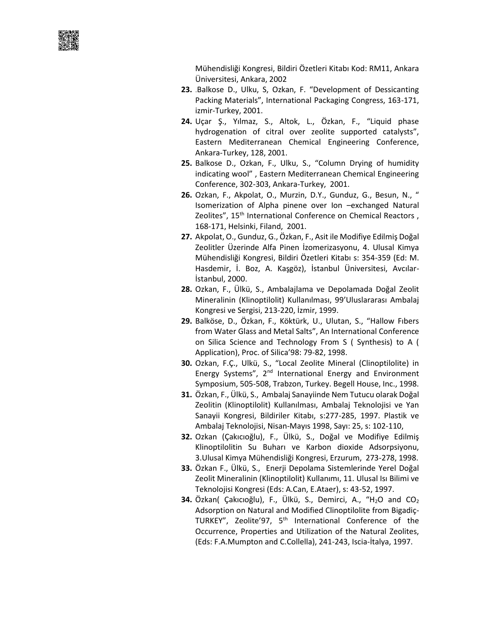Mühendisliği Kongresi, Bildiri Özetleri Kitabı Kod: RM11, Ankara Üniversitesi, Ankara, 2002

- **23.** .Balkose D., Ulku, S, Ozkan, F. "Development of Dessicanting Packing Materials", International Packaging Congress, 163-171, izmir-Turkey, 2001.
- **24.** Uçar Ş., Yılmaz, S., Altok, L., Özkan, F., "Liquid phase hydrogenation of citral over zeolite supported catalysts", Eastern Mediterranean Chemical Engineering Conference, Ankara-Turkey, 128, 2001.
- **25.** Balkose D., Ozkan, F., Ulku, S., "Column Drying of humidity indicating wool" , Eastern Mediterranean Chemical Engineering Conference, 302-303, Ankara-Turkey, 2001.
- **26.** Ozkan, F., Akpolat, O., Murzin, D.Y., Gunduz, G., Besun, N., " Isomerization of Alpha pinene over Ion –exchanged Natural Zeolites", 15<sup>th</sup> International Conference on Chemical Reactors, 168-171, Helsinki, Filand, 2001.
- **27.** Akpolat, O., Gunduz, G., Özkan, F., Asit ile Modifiye Edilmiş Doğal Zeolitler Üzerinde Alfa Pinen İzomerizasyonu, 4. Ulusal Kimya Mühendisliği Kongresi, Bildiri Özetleri Kitabı s: 354-359 (Ed: M. Hasdemir, İ. Boz, A. Kaşgöz), İstanbul Üniversitesi, Avcılar-İstanbul, 2000.
- **28.** Ozkan, F., Ülkü, S., Ambalajlama ve Depolamada Doğal Zeolit Mineralinin (Klinoptilolit) Kullanılması, 99'Uluslararası Ambalaj Kongresi ve Sergisi, 213-220, İzmir, 1999.
- **29.** Balköse, D., Özkan, F., Köktürk, U., Ulutan, S., "Hallow Fıbers from Water Glass and Metal Salts", An International Conference on Silica Science and Technology From S ( Synthesis) to A ( Application), Proc. of Silica'98: 79-82, 1998.
- **30.** Ozkan, F.Ç., Ulkü, S., "Local Zeolite Mineral (Clinoptilolite) in Energy Systems",  $2<sup>nd</sup>$  International Energy and Environment Symposium, 505-508, Trabzon, Turkey. Begell House, Inc., 1998.
- **31.** Özkan, F., Ülkü, S., Ambalaj Sanayiinde Nem Tutucu olarak Doğal Zeolitin (Klinoptilolit) Kullanılması, Ambalaj Teknolojisi ve Yan Sanayii Kongresi, Bildiriler Kitabı, s:277-285, 1997. Plastik ve Ambalaj Teknolojisi, Nisan-Mayıs 1998, Sayı: 25, s: 102-110,
- **32.** Ozkan (Çakıcıoğlu), F., Ülkü, S., Doğal ve Modifiye Edilmiş Klinoptilolitin Su Buharı ve Karbon dioxide Adsorpsiyonu, 3.Ulusal Kimya Mühendisliği Kongresi, Erzurum, 273-278, 1998.
- **33.** Özkan F., Ülkü, S., Enerji Depolama Sistemlerinde Yerel Doğal Zeolit Mineralinin (Klinoptilolit) Kullanımı, 11. Ulusal Isı Bilimi ve Teknolojisi Kongresi (Eds: A.Can, E.Ataer), s: 43-52, 1997.
- **34.** Özkan( Çakıcıoğlu), F., Ülkü, S., Demirci, A., "H<sub>2</sub>O and CO<sub>2</sub> Adsorption on Natural and Modified Clinoptilolite from Bigadiç-TURKEY", Zeolite'97, 5<sup>th</sup> International Conference of the Occurrence, Properties and Utilization of the Natural Zeolites, (Eds: F.A.Mumpton and C.Collella), 241-243, Iscia-İtalya, 1997.